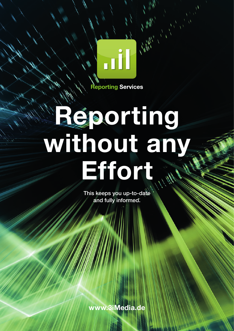**Reporting Services** 

**Til** 

1 M

# **Reporting without any Effort**

This keeps you up-to-date and fully informed.

**www.3iMedia.de**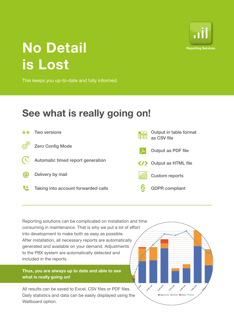

### **No Detail is Lost**

This keeps you up-to-date and fully informed.

### **See what is really going on!**



Reporting solutions can be complicated on installation and time consuming in maintenance. That is why we put a lot of effort into development to make both as easy as possible. After installation, all necessary reports are automatically generated and available on your demand. Adjustments to the PBX system are automatically detected and included in the reports.

**Thus, you are always up to date and able to see what is really going on!** 

All results can be saved to Excel, CSV files or PDF files. Daily statistics and data can be easily displayed using the Wallboard option.